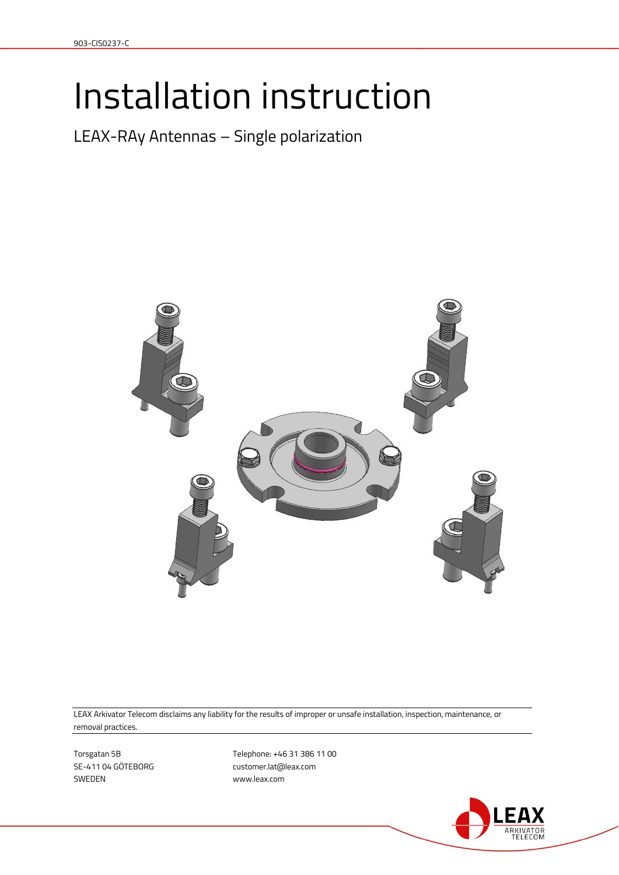# Installation instruction

LEAX-RAy Antennas – Single polarization



LEAX Arkivator Telecom disclaims any liability for the results of improper or unsafe installation, inspection, maintenance, or removal practices.

SWEDEN www.leax.com

Torsgatan 5B 11 00 SE-411 04 GÖTEBORG customer.lat@leax.com

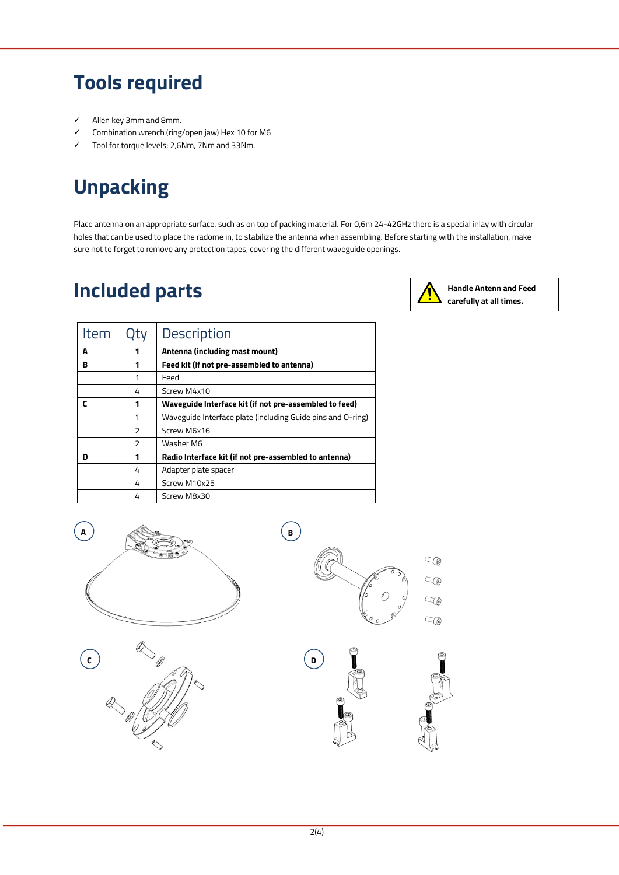#### **Tools required**

- $\checkmark$  Allen key 3mm and 8mm.
- Combination wrench (ring/open jaw) Hex 10 for M6
- $\checkmark$  Tool for torque levels; 2,6Nm, 7Nm and 33Nm.

## **Unpacking**

Place antenna on an appropriate surface, such as on top of packing material. For 0,6m 24-42GHz there is a special inlay with circular holes that can be used to place the radome in, to stabilize the antenna when assembling. Before starting with the installation, make sure not to forget to remove any protection tapes, covering the different waveguide openings.

#### **Included parts**



**Handle Antenn and Feed carefully at all times.**

| Item | Qty                      | Description                                                 |
|------|--------------------------|-------------------------------------------------------------|
| A    | 1                        | Antenna (including mast mount)                              |
| в    | 1                        | Feed kit (if not pre-assembled to antenna)                  |
|      | 1                        | Feed                                                        |
|      | 4                        | Screw M4x10                                                 |
| r    | 1                        | Waveguide Interface kit (if not pre-assembled to feed)      |
|      | 1                        | Waveguide Interface plate (including Guide pins and O-ring) |
|      | 2                        | Screw M6x16                                                 |
|      | $\overline{\phantom{0}}$ | Washer M6                                                   |
| n    | 1                        | Radio Interface kit (if not pre-assembled to antenna)       |
|      | 4                        | Adapter plate spacer                                        |
|      | 4                        | Screw M10x25                                                |
|      | 4                        | Screw M8x30                                                 |

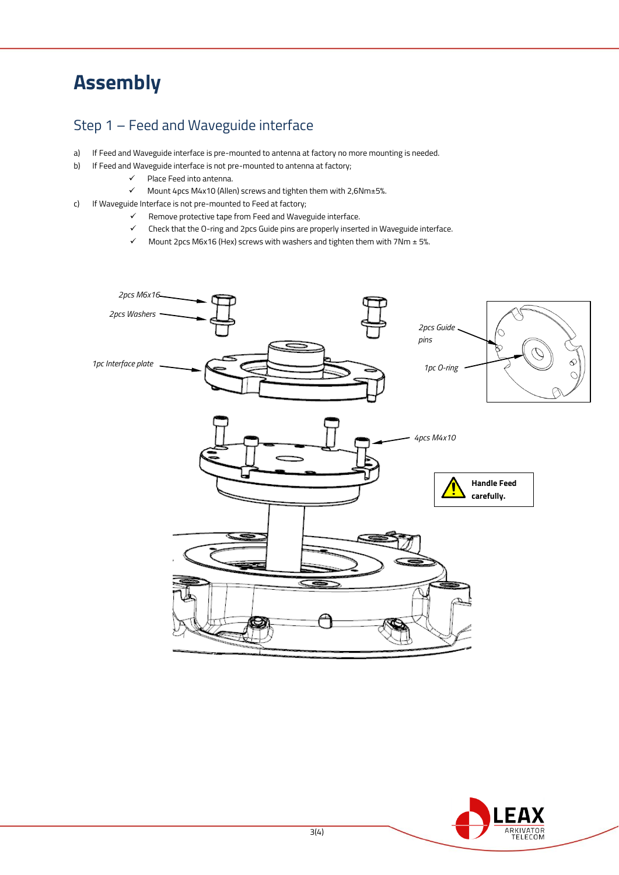## **Assembly**

#### Step 1 – Feed and Waveguide interface

- a) If Feed and Waveguide interface is pre-mounted to antenna at factory no more mounting is needed.
- b) If Feed and Waveguide interface is not pre-mounted to antenna at factory;
	- $\checkmark$  Place Feed into antenna.
	- $\checkmark$  Mount 4pcs M4x10 (Allen) screws and tighten them with 2,6Nm±5%.
- c) If Waveguide Interface is not pre-mounted to Feed at factory;
	- Remove protective tape from Feed and Waveguide interface.
	- Check that the O-ring and 2pcs Guide pins are properly inserted in Waveguide interface.
	- Mount 2pcs M6x16 (Hex) screws with washers and tighten them with 7Nm ± 5%.